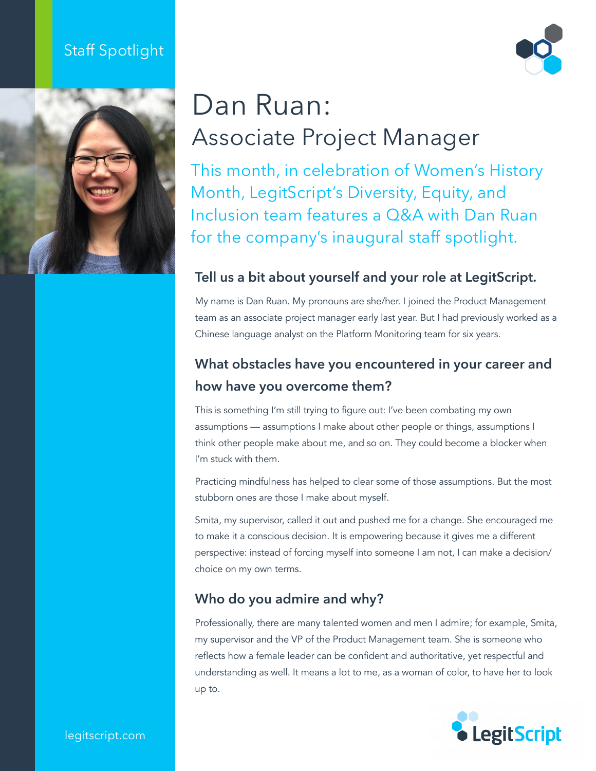# Staff Spotlight





# Dan Ruan: Associate Project Manager

This month, in celebration of Women's History Month, LegitScript's Diversity, Equity, and Inclusion team features a Q&A with Dan Ruan for the company's inaugural staff spotlight.

### **Tell us a bit about yourself and your role at LegitScript.**

My name is Dan Ruan. My pronouns are she/her. I joined the Product Management team as an associate project manager early last year. But I had previously worked as a Chinese language analyst on the Platform Monitoring team for six years.

# **What obstacles have you encountered in your career and how have you overcome them?**

This is something I'm still trying to figure out: I've been combating my own assumptions — assumptions I make about other people or things, assumptions I think other people make about me, and so on. They could become a blocker when I'm stuck with them.

Practicing mindfulness has helped to clear some of those assumptions. But the most stubborn ones are those I make about myself.

Smita, my supervisor, called it out and pushed me for a change. She encouraged me to make it a conscious decision. It is empowering because it gives me a different perspective: instead of forcing myself into someone I am not, I can make a decision/ choice on my own terms.

### **Who do you admire and why?**

Professionally, there are many talented women and men I admire; for example, Smita, my supervisor and the VP of the Product Management team. She is someone who reflects how a female leader can be confident and authoritative, yet respectful and understanding as well. It means a lot to me, as a woman of color, to have her to look up to.



legitscript.com